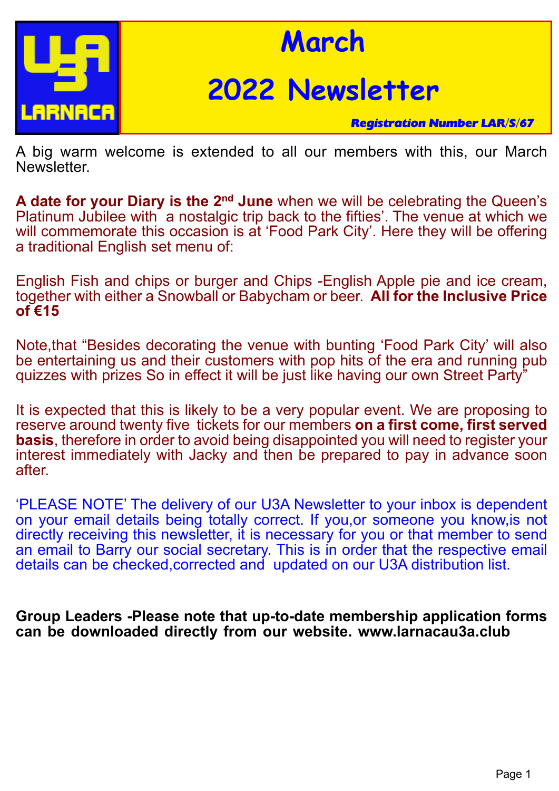

## **March**

# **2022 Newsletter**

*Registration Number LAR/S/67*

A big warm welcome is extended to all our members with this, our March Newsletter.

**A date for your Diary is the 2nd June** when we will be celebrating the Queen's Platinum Jubilee with a nostalgic trip back to the fifties'. The venue at which we will commemorate this occasion is at 'Food Park City'. Here they will be offering a traditional English set menu of:

English Fish and chips or burger and Chips -English Apple pie and ice cream, together with either a Snowball or Babycham or beer. **All for the Inclusive Price of €15**

Note,that "Besides decorating the venue with bunting 'Food Park City' will also be entertaining us and their customers with pop hits of the era and running pub quizzes with prizes So in effect it will be just like having our own Street Party"

It is expected that this is likely to be a very popular event. We are proposing to reserve around twenty five tickets for our members **on a first come, first served basis**, therefore in order to avoid being disappointed you will need to register your interest immediately with Jacky and then be prepared to pay in advance soon after.

'PLEASE NOTE' The delivery of our U3A Newsletter to your inbox is dependent on your email details being totally correct. If you,or someone you know, is not directly receiving this newsletter, it is necessary for you or that member to send an email to Barry our social secretary. This is in order that the respective email details can be checked,corrected and updated on our U3A distribution list.

**Group Leaders -Please note that up-to-date membership application forms can be downloaded directly from our website. www.larnacau3a.club**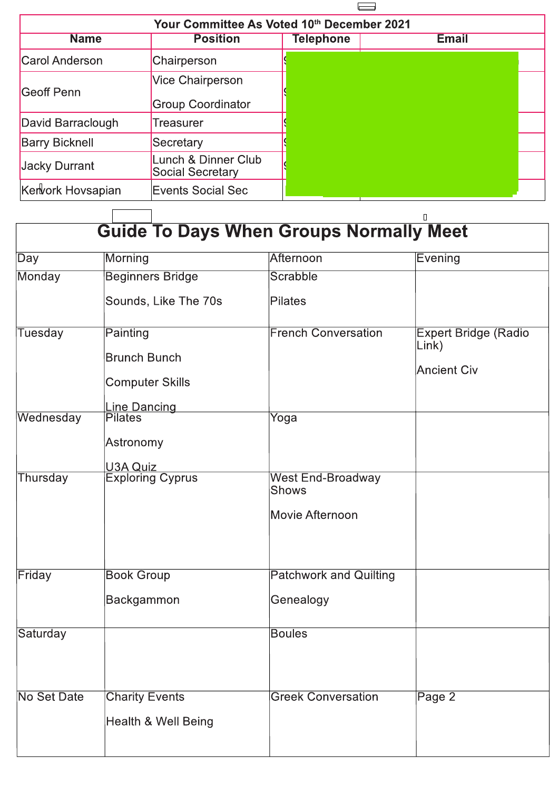

| Your Committee As Voted 10th December 2021 |                                                |           |              |  |  |
|--------------------------------------------|------------------------------------------------|-----------|--------------|--|--|
| <b>Name</b>                                | <b>Position</b>                                | Telephone | <b>Email</b> |  |  |
| Carol Anderson                             | Chairperson                                    |           |              |  |  |
| Geoff Penn                                 | Vice Chairperson                               |           |              |  |  |
|                                            | <b>Group Coordinator</b>                       |           |              |  |  |
| David Barraclough                          | Treasurer                                      |           |              |  |  |
| <b>Barry Bicknell</b>                      | Secretary                                      |           |              |  |  |
| Jacky Durrant                              | Lunch & Dinner Club<br><b>Social Secretary</b> |           |              |  |  |
| Kervork Hovsapian                          | Events Social Sec                              |           |              |  |  |

| <b>Guide To Days When Groups Normally Meet</b> |                         |                                          |                                      |  |
|------------------------------------------------|-------------------------|------------------------------------------|--------------------------------------|--|
| $\overline{Day}$                               | Morning                 | Afternoon                                | Evening                              |  |
| Monday                                         | <b>Beginners Bridge</b> | Scrabble                                 |                                      |  |
|                                                | Sounds, Like The 70s    | Pilates                                  |                                      |  |
| <b>Tuesday</b>                                 | Painting                | <b>French Conversation</b>               | <b>Expert Bridge (Radio</b><br>Link) |  |
|                                                | <b>Brunch Bunch</b>     |                                          | <b>Ancient Civ</b>                   |  |
|                                                | Computer Skills         |                                          |                                      |  |
|                                                | <b>Line Dancing</b>     |                                          |                                      |  |
| Wednesday                                      | <b>Pilates</b>          | Yoga                                     |                                      |  |
|                                                | Astronomy               |                                          |                                      |  |
|                                                | U3A Quiz                |                                          |                                      |  |
| Thursday                                       | <b>Exploring Cyprus</b> | <b>West End-Broadway</b><br><b>Shows</b> |                                      |  |
|                                                |                         | Movie Afternoon                          |                                      |  |
| Friday                                         | <b>Book Group</b>       | <b>Patchwork and Quilting</b>            |                                      |  |
|                                                |                         |                                          |                                      |  |
|                                                | Backgammon              | Genealogy                                |                                      |  |
| Saturday                                       |                         | <b>Boules</b>                            |                                      |  |
|                                                |                         |                                          |                                      |  |
| <b>No Set Date</b>                             | <b>Charity Events</b>   | <b>Greek Conversation</b>                | Page 2                               |  |
|                                                | Health & Well Being     |                                          |                                      |  |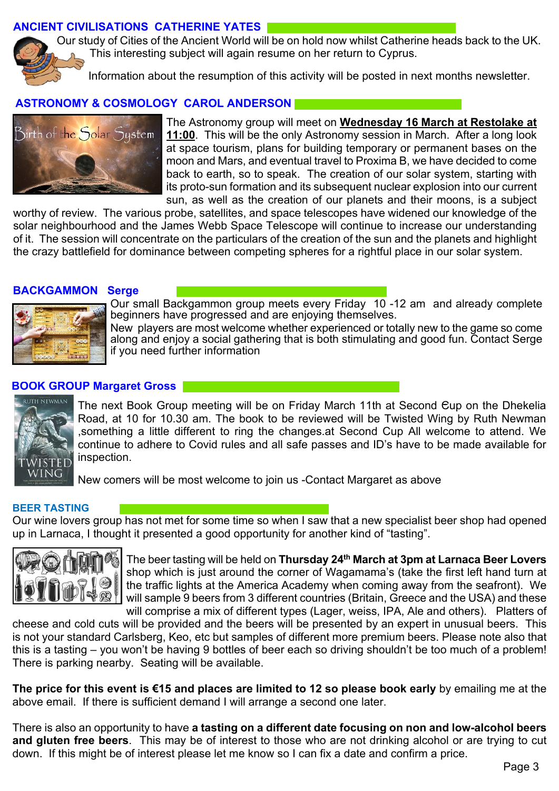## **ANCIENT CIVILISATIONS CATHERINE YATES**

Our study of Cities of the Ancient World will be on hold now whilst Catherine heads back to the UK. This interesting subject will again resume on her return to Cyprus.

Information about the resumption of this activity will be posted in next months newsletter.

## **ASTRONOMY & COSMOLOGY CAROL ANDERSON**



The Astronomy group will meet on **Wednesday 16 March at Restolake at 11:00**. This will be the only Astronomy session in March. After a long look at space tourism, plans for building temporary or permanent bases on the moon and Mars, and eventual travel to Proxima B, we have decided to come back to earth, so to speak. The creation of our solar system, starting with its proto-sun formation and its subsequent nuclear explosion into our current sun, as well as the creation of our planets and their moons, is a subject

worthy of review. The various probe, satellites, and space telescopes have widened our knowledge of the solar neighbourhood and the James Webb Space Telescope will continue to increase our understanding of it. The session will concentrate on the particulars of the creation of the sun and the planets and highlight the crazy battlefield for dominance between competing spheres for a rightful place in our solar system.

#### **BACKGAMMON Serge**



Our small Backgammon group meets every Friday 10 -12 am and already complete beginners have progressed and are enjoying themselves.

New players are most welcome whether experienced or totally new to the game so come along and enjoy a social gathering that is both stimulating and good fun. Contact Serge if you need further information

#### **BOOK GROUP Margaret Gross**



The next Book Group meeting will be on Friday March 11th at Second <del>C</del>up on the Dhekelia Road, at 10 for 10.30 am. The book to be reviewed will be Twisted Wing by Ruth Newman ,something a little different to ring the changes.at Second Cup All welcome to attend. We continue to adhere to Covid rules and all safe passes and ID's have to be made available for inspection.

New comers will be most welcome to join us -Contact Margaret as above

Qa9O

#### **BEER TASTING**

Our wine lovers group has not met for some time so when I saw that a new specialist beer shop had opened up in Larnaca, I thought it presented a good opportunity for another kind of "tasting".



The beer tasting will be held on **Thursday 24th March at 3pm at Larnaca Beer Lovers** shop which is just around the corner of Wagamama's (take the first left hand turn at the traffic lights at the America Academy when coming away from the seafront). We will sample 9 beers from 3 different countries (Britain, Greece and the USA) and these will comprise a mix of different types (Lager, weiss, IPA, Ale and others). Platters of

cheese and cold cuts will be provided and the beers will be presented by an expert in unusual beers. This is not your standard Carlsberg, Keo, etc but samples of different more premium beers. Please note also that this is a tasting – you won't be having 9 bottles of beer each so driving shouldn't be too much of a problem! There is parking nearby. Seating will be available.

**The price for this event is €15 and places are limited to 12 so please book early** by emailing me at the above email. If there is sufficient demand I will arrange a second one later.

There is also an opportunity to have **a tasting on a different date focusing on non and low-alcohol beers and gluten free beers**. This may be of interest to those who are not drinking alcohol or are trying to cut down. If this might be of interest please let me know so I can fix a date and confirm a price.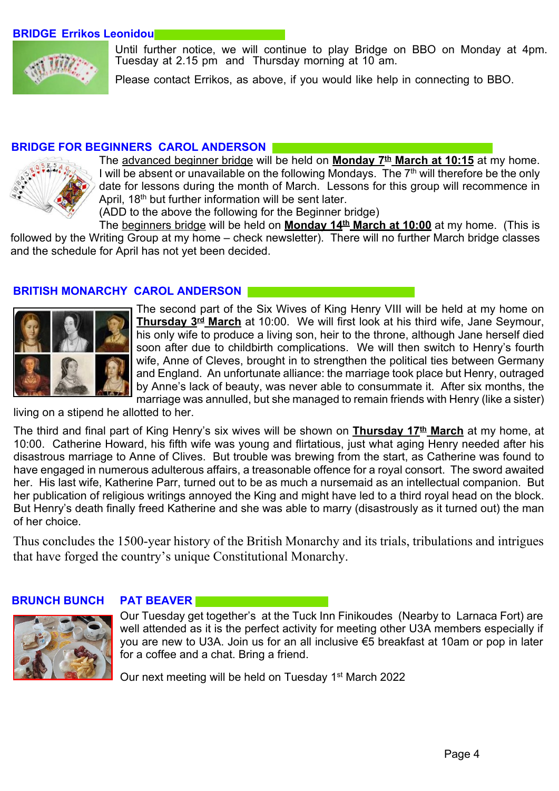#### **BRIDGE Errikos Leonidou**



Until further notice, we will continue to play Bridge on BBO on Monday at 4pm. Tuesday at 2.15 pm and Thursday morning at 10 am.

Please contact Errikos, as above, if you would like help in connecting to BBO.

#### **BRIDGE FOR BEGINNERS CAROL ANDERSON**



The advanced beginner bridge will be held on **Monday 7th March at 10:15** at my home. I will be absent or unavailable on the following Mondays. The  $7<sup>th</sup>$  will therefore be the only date for lessons during the month of March. Lessons for this group will recommence in April, 18<sup>th</sup> but further information will be sent later.

(ADD to the above the following for the Beginner bridge)

The beginners bridge will be held on **Monday 14th March at 10:00** at my home. (This is followed by the Writing Group at my home – check newsletter). There will no further March bridge classes and the schedule for April has not yet been decided.

#### **BRITISH MONARCHY CAROL ANDERSON**



The second part of the Six Wives of King Henry VIII will be held at my home on **Thursday 3rd March** at 10:00. We will first look at his third wife, Jane Seymour, his only wife to produce a living son, heir to the throne, although Jane herself died soon after due to childbirth complications. We will then switch to Henry's fourth wife, Anne of Cleves, brought in to strengthen the political ties between Germany and England. An unfortunate alliance: the marriage took place but Henry, outraged by Anne's lack of beauty, was never able to consummate it. After six months, the marriage was annulled, but she managed to remain friends with Henry (like a sister)

living on a stipend he allotted to her.

The third and final part of King Henry's six wives will be shown on **Thursday 17th March** at my home, at 10:00. Catherine Howard, his fifth wife was young and flirtatious, just what aging Henry needed after his disastrous marriage to Anne of Clives. But trouble was brewing from the start, as Catherine was found to have engaged in numerous adulterous affairs, a treasonable offence for a royal consort. The sword awaited her. His last wife, Katherine Parr, turned out to be as much a nursemaid as an intellectual companion. But her publication of religious writings annoyed the King and might have led to a third royal head on the block. But Henry's death finally freed Katherine and she was able to marry (disastrously as it turned out) the man of her choice.

Thus concludes the 1500-year history of the British Monarchy and its trials, tribulations and intrigues that have forged the country's unique Constitutional Monarchy.

#### **BRUNCH BUNCH PAT BEAVER**



Our Tuesday get together's at the Tuck Inn Finikoudes (Nearby to Larnaca Fort) are well attended as it is the perfect activity for meeting other U3A members especially if you are new to U3A. Join us for an all inclusive €5 breakfast at 10am or pop in later for a coffee and a chat. Bring a friend.

Our next meeting will be held on Tuesday 1<sup>st</sup> March 2022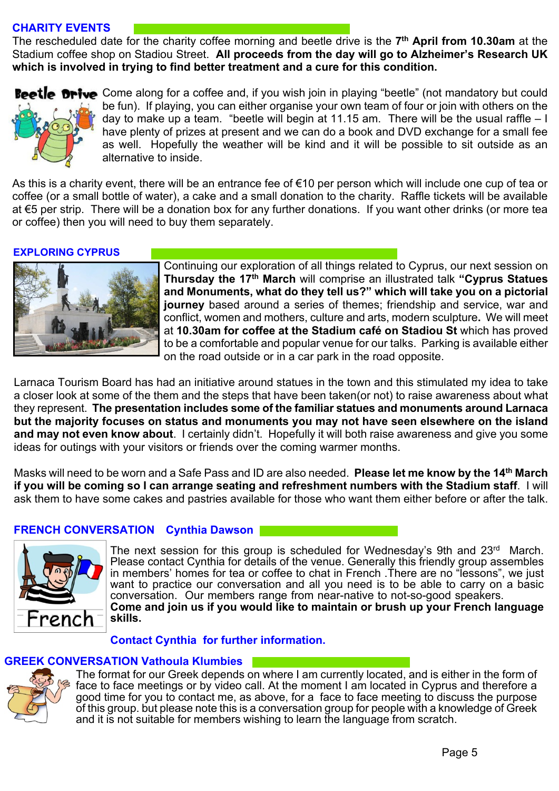## **CHARITY EVENTS**

The rescheduled date for the charity coffee morning and beetle drive is the **7 th April from 10.30am** at the Stadium coffee shop on Stadiou Street. **All proceeds from the day will go to Alzheimer's Research UK which is involved in trying to find better treatment and a cure for this condition.**



Beetle Drive Come along for a coffee and, if you wish join in playing "beetle" (not mandatory but could be fun). If playing, you can either organise your own team of four or join with others on the day to make up a team. "beetle will begin at 11.15 am. There will be the usual raffle – I have plenty of prizes at present and we can do a book and DVD exchange for a small fee as well. Hopefully the weather will be kind and it will be possible to sit outside as an alternative to inside.

As this is a charity event, there will be an entrance fee of €10 per person which will include one cup of tea or coffee (or a small bottle of water), a cake and a small donation to the charity. Raffle tickets will be available at €5 per strip. There will be a donation box for any further donations. If you want other drinks (or more tea or coffee) then you will need to buy them separately.

#### **EXPLORING CYPRUS**



Continuing our exploration of all things related to Cyprus, our next session on **Thursday the 17th March** will comprise an illustrated talk **"Cyprus Statues and Monuments, what do they tell us?" which will take you on a pictorial journey** based around a series of themes; friendship and service, war and conflict, women and mothers, culture and arts, modern sculpture**.** We will meet at **10.30am for coffee at the Stadium café on Stadiou St** which has proved to be a comfortable and popular venue for our talks. Parking is available either on the road outside or in a car park in the road opposite.

Larnaca Tourism Board has had an initiative around statues in the town and this stimulated my idea to take a closer look at some of the them and the steps that have been taken(or not) to raise awareness about what they represent. **The presentation includes some of the familiar statues and monuments around Larnaca but the majority focuses on status and monuments you may not have seen elsewhere on the island and may not even know about**. I certainly didn't. Hopefully it will both raise awareness and give you some ideas for outings with your visitors or friends over the coming warmer months.

Masks will need to be worn and a Safe Pass and ID are also needed. **Please let me know by the 14th March if you will be coming so I can arrange seating and refreshment numbers with the Stadium staff**. I will ask them to have some cakes and pastries available for those who want them either before or after the talk.

## **FRENCH CONVERSATION Cynthia Dawson**



The next session for this group is scheduled for Wednesday's 9th and 23<sup>rd</sup> March. Please contact Cynthia for details of the venue. Generally this friendly group assembles in members' homes for tea or coffee to chat in French .There are no "lessons", we just want to practice our conversation and all you need is to be able to carry on a basic conversation. Our members range from near-native to not-so-good speakers. **Come and join us if you would like to maintain or brush up your French language skills.**

#### **Contact Cynthia for further information.**

## **GREEK CONVERSATION Vathoula Klumbies**



The format for our Greek depends on where I am currently located, and is either in the form of face to face meetings or by video call. At the moment I am located in Cyprus and therefore a good time for you to contact me, as above, for a face to face meeting to discuss the purpose of this group. but please note this is a conversation group for people with a knowledge of Greek and it is not suitable for members wishing to learn the language from scratch.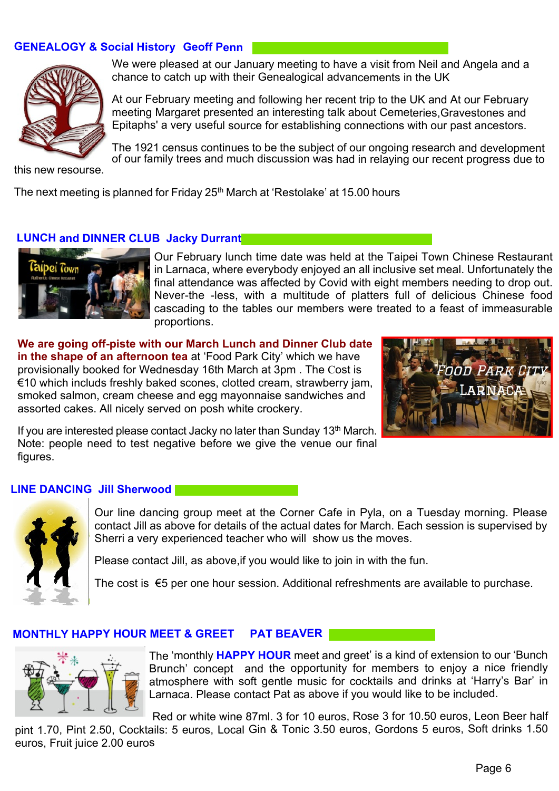## **GENEALOGY & Social History Geoff Penn**



We were pleased at our January meeting to have a visit from Neil and Angela and a chance to catch up with their Genealogical advancements in the UK

At our February meeting and following her recent trip to the UK and At our February meeting Margaret presented an interesting talk about Cemeteries,Gravestones and Epitaphs' a very useful source for establishing connections with our past ancestors.

The 1921 census continues to be the subject of our ongoing research and development of our family trees and much discussion was had in relaying our recent progress due to

this new resourse.

The next meeting is planned for Friday 25<sup>th</sup> March at 'Restolake' at 15.00 hours

#### **LUNCH and DINNER CLUB Jacky Durrant**



Our February lunch time date was held at the Taipei Town Chinese Restaurant in Larnaca, where everybody enjoyed an all inclusive set meal. Unfortunately the final attendance was affected by Covid with eight members needing to drop out. Never-the -less, with a multitude of platters full of delicious Chinese food cascading to the tables our members were treated to a feast of immeasurable proportions.

**We are going off-piste with our March Lunch and Dinner Club date in the shape of an afternoon tea** at 'Food Park City' which we have provisionally booked for Wednesday 16th March at 3pm . The Cost is €10 which includs freshly baked scones, clotted cream, strawberry jam, smoked salmon, cream cheese and egg mayonnaise sandwiches and assorted cakes. All nicely served on posh white crockery.



If you are interested please contact Jacky no later than Sunday 13<sup>th</sup> March. Note: people need to test negative before we give the venue our final figures.

#### **LINE DANCING Jill Sherwood**



Our line dancing group meet at the Corner Cafe in Pyla, on a Tuesday morning. Please contact Jill as above for details of the actual dates for March. Each session is supervised by Sherri a very experienced teacher who will show us the moves.

Please contact Jill, as above,if you would like to join in with the fun.

The cost is €5 per one hour session. Additional refreshments are available to purchase.

#### **MONTHLY HAPPY HOUR MEET & GREET PAT BEAVER**



The 'monthly **HAPPY HOUR** meet and greet' is a kind of extension to our 'Bunch Brunch' concept and the opportunity for members to enjoy a nice friendly atmosphere with soft gentle music for cocktails and drinks at 'Harry's Bar' in Larnaca. Please contact Pat as above if you would like to be included.

 Red or white wine 87ml. 3 for 10 euros, Rose 3 for 10.50 euros, Leon Beer half pint 1.70, Pint 2.50, Cocktails: 5 euros, Local Gin & Tonic 3.50 euros, Gordons 5 euros, Soft drinks 1.50 euros, Fruit juice 2.00 euros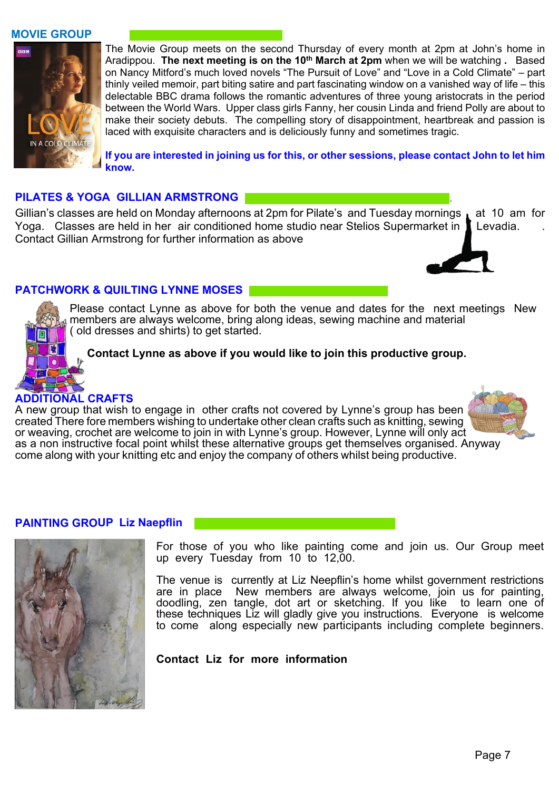#### **MOVIE GROUP**



The Movie Group meets on the second Thursday of every month at 2pm at John's home in Aradippou. **The next meeting is on the 10th March at 2pm** when we will be watching **.** Based on Nancy Mitford's much loved novels "The Pursuit of Love" and "Love in a Cold Climate" – part thinly veiled memoir, part biting satire and part fascinating window on a vanished way of life – this delectable BBC drama follows the romantic adventures of three young aristocrats in the period between the World Wars. Upper class girls Fanny, her cousin Linda and friend Polly are about to make their society debuts. The compelling story of disappointment, heartbreak and passion is laced with exquisite characters and is deliciously funny and sometimes tragic.

**If you are interested in joining us for this, or other sessions, please contact John to let him know.**

#### **PILATES & YOGA GILLIAN ARMSTRONG** .

Gillian's classes are held on Monday afternoons at 2pm for Pilate's and Tuesday mornings at 10 am for Yoga. Classes are held in her air conditioned home studio near Stelios Supermarket in **I** Levadia. Contact Gillian Armstrong for further information as above



## **PATCHWORK & QUILTING LYNNE MOSES**

Please contact Lynne as above for both the venue and dates for the next meetings New members are always welcome, bring along ideas, sewing machine and material ( old dresses and shirts) to get started.

#### **Contact Lynne as above if you would like to join this productive group.**

## **ADDITIONAL CRAFTS**

A new group that wish to engage in other crafts not covered by Lynne's group has been created There fore members wishing to undertake other clean crafts such as knitting, sewing or weaving, crochet are welcome to join in with Lynne's group. However, Lynne will only act as a non instructive focal point whilst these alternative groups get themselves organised. Anyway come along with your knitting etc and enjoy the company of others whilst being productive.

#### **PAINTING GROUP Liz Naepflin**



For those of you who like painting come and join us. Our Group meet up every Tuesday from 10 to 12,00.

The venue is currently at Liz Neepflin's home whilst government restrictions are in place New members are always welcome, join us for painting, doodling, zen tangle, dot art or sketching. If you like to learn one of these techniques Liz will gladly give you instructions. Everyone is welcome to come along especially new participants including complete beginners.

#### **Contact Liz for more information**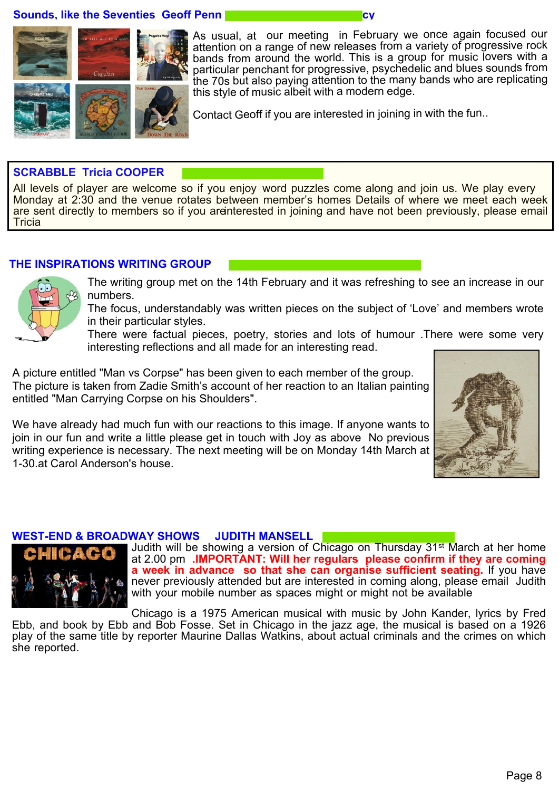**Sounds, like the Seventies Geoff Penn** 



As usual, at our meeting in February we once again focused our attention on a range of new releases from a variety of progressive rock bands from around the world. This is a group for music lovers with a particular penchant for progressive, psychedelic and blues sounds from the 70s but also paying attention to the many bands who are replicating this style of music albeit with a modern edge.

Contact Geoff if you are interested in joining in with the fun..

#### **SCRABBLE Tricia COOPER**

All levels of player are welcome so if you enjoy word puzzles come along and join us. We play every Monday at 2:30 and the venue rotates between member's homes Details of where we meet each week are sent directly to members so if you arenterested in joining and have not been previously, please email **Tricia** 

#### **THE INSPIRATIONS WRITING GROUP**



The writing group met on the 14th February and it was refreshing to see an increase in our numbers.

The focus, understandably was written pieces on the subject of 'Love' and members wrote in their particular styles.

There were factual pieces, poetry, stories and lots of humour .There were some very interesting reflections and all made for an interesting read.

A picture entitled "Man vs Corpse" has been given to each member of the group. The picture is taken from Zadie Smith's account of her reaction to an Italian painting entitled "Man Carrying Corpse on his Shoulders".

We have already had much fun with our reactions to this image. If anyone wants to join in our fun and write a little please get in touch with Joy as above No previous writing experience is necessary. The next meeting will be on Monday 14th March at 1-30.at Carol Anderson's house.



#### **WEST-END & BROADWAY SHOWS JUDITH MANSELL**



Judith will be showing a version of Chicago on Thursday 31<sup>st</sup> March at her home at 2.00 pm **.IMPORTANT: Will her regulars please confirm if they are coming a week in advance so that she can organise sufficient seating.** If you have never previously attended but are interested in coming along, please email Judith with your mobile number as spaces might or might not be available

Chicago is a 1975 American musical with music by John Kander, lyrics by Fred Ebb, and book by Ebb and Bob Fosse. Set in Chicago in the jazz age, the musical is based on a 1926 play of the same title by reporter Maurine Dallas Watkins, about actual criminals and the crimes on which she reported.